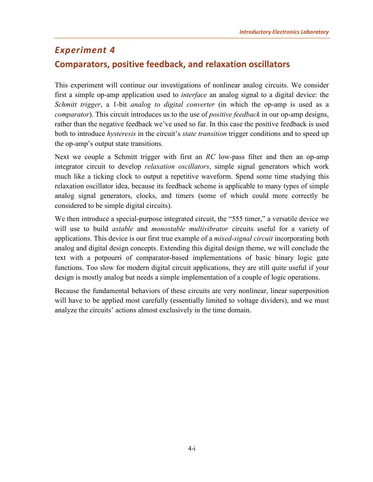# <span id="page-0-0"></span>*Experiment 4* **Comparators, positive feedback, and relaxation oscillators**

This experiment will continue our investigations of nonlinear analog circuits. We consider first a simple op-amp application used to *interface* an analog signal to a digital device: the *Schmitt trigger*, a 1-bit *analog to digital converter* (in which the op-amp is used as a *comparator*). This circuit introduces us to the use of *positive feedback* in our op-amp designs, rather than the negative feedback we've used so far. In this case the positive feedback is used both to introduce *hysteresis* in the circuit's *state transition* trigger conditions and to speed up the op-amp's output state transitions.

Next we couple a Schmitt trigger with first an *RC* low-pass filter and then an op-amp integrator circuit to develop *relaxation oscillators*, simple signal generators which work much like a ticking clock to output a repetitive waveform. Spend some time studying this relaxation oscillator idea, because its feedback scheme is applicable to many types of simple analog signal generators, clocks, and timers (some of which could more correctly be considered to be simple digital circuits).

We then introduce a special-purpose integrated circuit, the "555 timer," a versatile device we will use to build *astable* and *monostable multivibrator* circuits useful for a variety of applications. This device is our first true example of a *mixed-signal circuit* incorporating both analog and digital design concepts. Extending this digital design theme, we will conclude the text with a potpourri of comparator-based implementations of basic binary logic gate functions. Too slow for modern digital circuit applications, they are still quite useful if your design is mostly analog but needs a simple implementation of a couple of logic operations.

Because the fundamental behaviors of these circuits are very nonlinear, linear superposition will have to be applied most carefully (essentially limited to voltage dividers), and we must analyze the circuits' actions almost exclusively in the time domain.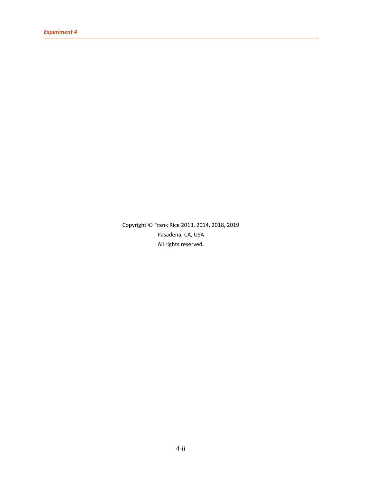Copyright © Frank Rice 2013, 2014, 2018, 2019 Pasadena, CA, USA All rights reserved.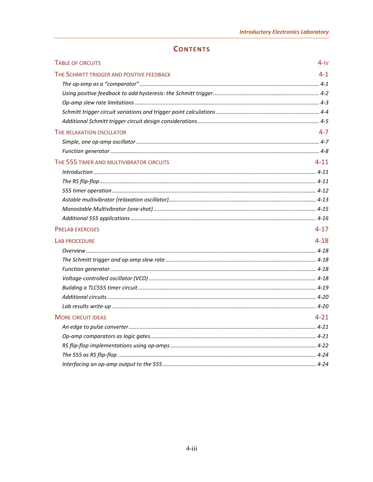| <b>CONTENTS</b> |  |  |
|-----------------|--|--|
|                 |  |  |

| <b>TABLE OF CIRCUITS</b>                  | $4-N$    |
|-------------------------------------------|----------|
| THE SCHMITT TRIGGER AND POSITIVE FEEDBACK | 4-1      |
|                                           |          |
|                                           |          |
|                                           |          |
|                                           |          |
|                                           |          |
| THE RELAXATION OSCILLATOR                 | $4 - 7$  |
|                                           |          |
|                                           |          |
| THE 555 TIMER AND MULTIVIBRATOR CIRCUITS  | $4 - 11$ |
|                                           |          |
|                                           |          |
|                                           |          |
|                                           |          |
|                                           |          |
|                                           |          |
| <b>PRELAB EXERCISES</b>                   | $4 - 17$ |
| <b>LAB PROCEDURE</b>                      | $4 - 18$ |
|                                           |          |
|                                           |          |
|                                           |          |
|                                           |          |
|                                           |          |
|                                           |          |
|                                           |          |
| <b>MORE CIRCUIT IDEAS</b>                 | $4 - 21$ |
|                                           |          |
|                                           |          |
|                                           |          |
|                                           |          |
|                                           |          |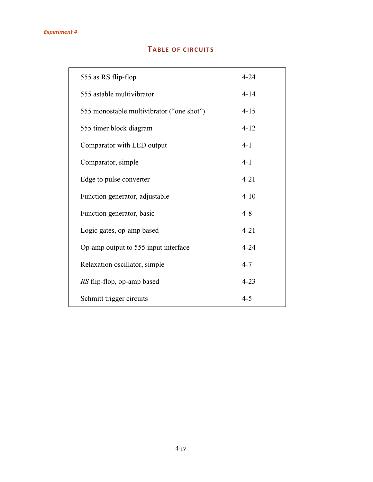# **TABLE OF CIRCUITS**

<span id="page-3-0"></span>

| 555 as RS flip-flop                       | $4 - 24$ |
|-------------------------------------------|----------|
| 555 astable multivibrator                 | $4 - 14$ |
| 555 monostable multivibrator ("one shot") | $4 - 15$ |
| 555 timer block diagram                   | $4 - 12$ |
| Comparator with LED output                | $4 - 1$  |
| Comparator, simple                        | $4 - 1$  |
| Edge to pulse converter                   | $4 - 21$ |
| Function generator, adjustable            | $4 - 10$ |
| Function generator, basic                 | $4 - 8$  |
| Logic gates, op-amp based                 | $4 - 21$ |
| Op-amp output to 555 input interface      | $4 - 24$ |
| Relaxation oscillator, simple             | $4 - 7$  |
| RS flip-flop, op-amp based                | $4 - 23$ |
| Schmitt trigger circuits                  | $4 - 5$  |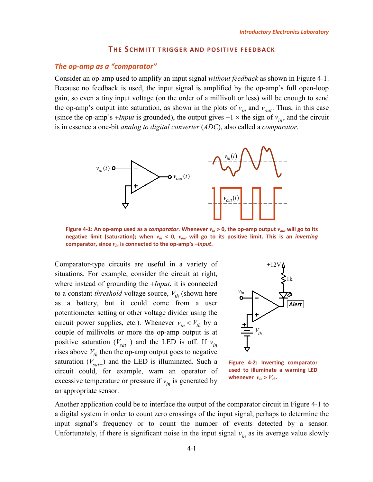## **THE SCHMITT TRIGGER AND POSITIVE FEEDBACK**

#### <span id="page-4-1"></span><span id="page-4-0"></span>*The op-amp as a "comparator"*

Consider an op-amp used to amplify an input signal *without feedback* as shown in [Figure 4-1.](#page-4-3) Because no feedback is used, the input signal is amplified by the op-amp's full open-loop gain, so even a tiny input voltage (on the order of a millivolt or less) will be enough to send the op-amp's output into saturation, as shown in the plots of  $v_{in}$  and  $v_{out}$ . Thus, in this case (since the op-amp's +*Input* is grounded), the output gives  $-1 \times$  the sign of  $v_{in}$ , and the circuit is in essence a one-bit *analog to digital converter* (*ADC*), also called a *comparator*.



<span id="page-4-3"></span>**Figure 4-1: An op-amp used as a** *comparator***. Whenever** *vin* **> 0, the op-amp output** *vout* **will go to its negative limit (saturation); when** *vin* **< 0,** *vout* **will go to its positive limit. This is an** *inverting* **comparator, since** *vin* **is connected to the op-amp's –***Input***.** 

Comparator-type circuits are useful in a variety of situations. For example, consider the circuit at right, where instead of grounding the +*Input*, it is connected to a constant *threshold* voltage source,  $V_{th}$  (shown here as a battery, but it could come from a user potentiometer setting or other voltage divider using the circuit power supplies, etc.). Whenever  $v_{in} < V_{th}$  by a couple of millivolts or more the op-amp output is at positive saturation  $(V_{\text{sat}})$  and the LED is off. If  $v_{\text{in}}$ rises above  $V_{th}$  then the op-amp output goes to negative saturation  $(V_{\text{sat}^{-}})$  and the LED is illuminated. Such a circuit could, for example, warn an operator of excessive temperature or pressure if  $v_{in}$  is generated by an appropriate sensor.



<span id="page-4-2"></span>**Figure 4-2: Inverting comparator used to illuminate a warning LED**  whenever  $v_{in} > V_{th}$ .

Another application could be to interface the output of the comparator circuit in [Figure 4-1](#page-4-3) to a digital system in order to count zero crossings of the input signal, perhaps to determine the input signal's frequency or to count the number of events detected by a sensor. Unfortunately, if there is significant noise in the input signal  $v_{in}$  as its average value slowly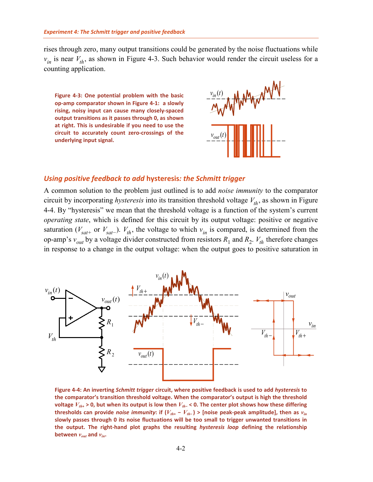rises through zero, many output transitions could be generated by the noise fluctuations while  $v_{in}$  is near  $V_{th}$ , as shown in [Figure 4-3.](#page-5-1) Such behavior would render the circuit useless for a counting application.

<span id="page-5-1"></span>**Figure 4-3: One potential problem with the basic op-amp comparator shown in [Figure 4-1:](#page-4-3) a slowly rising, noisy input can cause many closely-spaced output transitions as it passes through 0, as shown at right. This is undesirable if you need to use the circuit to accurately count zero-crossings of the underlying input signal.**



#### <span id="page-5-0"></span>*Using positive feedback to add* **hysteresis***: the Schmitt trigger*

A common solution to the problem just outlined is to add *noise immunity* to the comparator circuit by incorporating *hysteresis* into its transition threshold voltage  $V_{th}$ , as shown in Figure [4-4.](#page-5-2) By "hysteresis" we mean that the threshold voltage is a function of the system's current *operating state*, which is defined for this circuit by its output voltage: positive or negative saturation ( $V_{sat+}$  or  $V_{sat-}$ ).  $V_{th}$ , the voltage to which  $v_{in}$  is compared, is determined from the op-amp's  $v_{out}$  by a voltage divider constructed from resistors  $R_1$  and  $R_2$ .  $V_{th}$  therefore changes in response to a change in the output voltage: when the output goes to positive saturation in



<span id="page-5-2"></span>**Figure 4-4: An inverting** *Schmitt trigger* **circuit, where positive feedback is used to add** *hysteresis* **to the comparator's transition threshold voltage. When the comparator's output is high the threshold voltage**  $V_{th}$  **> 0, but when its output is low then**  $V_{th}$ **− <b>c** 0. The center plot shows how these differing **thresholds can provide** *noise immunity***: if**  $(V_{th+} - V_{th-})$  **> [noise peak-peak amplitude], then as**  $v_{in}$ **slowly passes through 0 its noise fluctuations will be too small to trigger unwanted transitions in the output. The right-hand plot graphs the resulting** *hysteresis loop* **defining the relationship**  between  $v_{out}$  and  $v_{in}$ .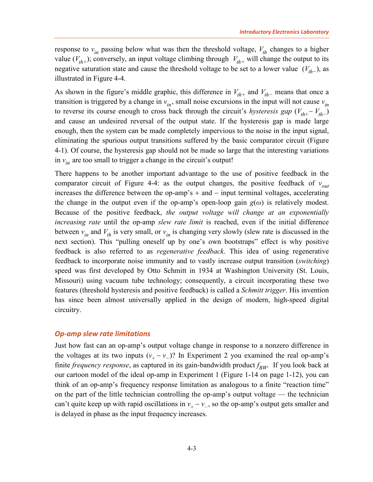response to  $v_{in}$  passing below what was then the threshold voltage,  $V_{th}$  changes to a higher value  $(V_{th+})$ ; conversely, an input voltage climbing through  $V_{th+}$  will change the output to its negative saturation state and cause the threshold voltage to be set to a lower value  $(V<sub>th−</sub>)$ , as illustrated in [Figure 4-4.](#page-5-2)

As shown in the figure's middle graphic, this difference in  $V_{th+}$  and  $V_{th-}$  means that once a transition is triggered by a change in  $v_{in}$ , small noise excursions in the input will not cause  $v_{in}$ to reverse its course enough to cross back through the circuit's *hysteresis gap* ( $V_{th+} - V_{th-}$ ) and cause an undesired reversal of the output state. If the hysteresis gap is made large enough, then the system can be made completely impervious to the noise in the input signal, eliminating the spurious output transitions suffered by the basic comparator circuit [\(Figure](#page-4-3)  [4-1\)](#page-4-3). Of course, the hysteresis gap should not be made so large that the interesting variations in  $v_{in}$  are too small to trigger a change in the circuit's output!

There happens to be another important advantage to the use of positive feedback in the comparator circuit of [Figure 4-4:](#page-5-2) as the output changes, the positive feedback of  $v_{out}$ increases the difference between the op-amp's + and − input terminal voltages, accelerating the change in the output even if the op-amp's open-loop gain  $g(\omega)$  is relatively modest. Because of the positive feedback, *the output voltage will change at an exponentially increasing rate* until the op-amp *slew rate limit* is reached, even if the initial difference between  $v_{in}$  and  $V_{th}$  is very small, or  $v_{in}$  is changing very slowly (slew rate is discussed in the next section). This "pulling oneself up by one's own bootstraps" effect is why positive feedback is also referred to as *regenerative feedback*. This idea of using regenerative feedback to incorporate noise immunity and to vastly increase output transition (*switching*) speed was first developed by Otto Schmitt in 1934 at Washington University (St. Louis, Missouri) using vacuum tube technology; consequently, a circuit incorporating these two features (threshold hysteresis and positive feedback) is called a *Schmitt trigger*. His invention has since been almost universally applied in the design of modern, high-speed digital circuitry.

#### <span id="page-6-0"></span>*Op-amp slew rate limitations*

Just how fast can an op-amp's output voltage change in response to a nonzero difference in the voltages at its two inputs  $(v_+ - v_-)$ ? In Experiment 2 you examined the real op-amp's finite *frequency response*, as captured in its gain-bandwidth product  $f_{BW}$ . If you look back at our cartoon model of the ideal op-amp in Experiment 1 (Figure 1-14 on page 1-12), you can think of an op-amp's frequency response limitation as analogous to a finite "reaction time" on the part of the little technician controlling the op-amp's output voltage — the technician can't quite keep up with rapid oscillations in  $v_+ - v_$ , so the op-amp's output gets smaller and is delayed in phase as the input frequency increases.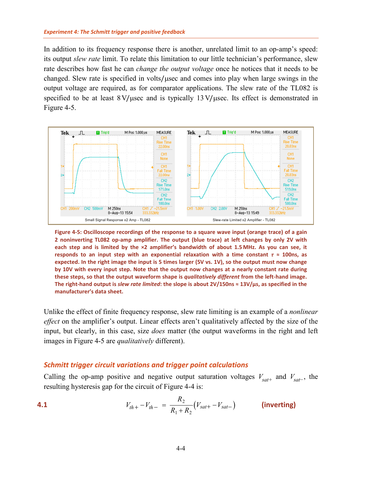In addition to its frequency response there is another, unrelated limit to an op-amp's speed: its output *slew rate* limit. To relate this limitation to our little technician's performance, slew rate describes how fast he can *change the output voltage* once he notices that it needs to be changed. Slew rate is specified in volts/µsec and comes into play when large swings in the output voltage are required, as for comparator applications. The slew rate of the TL082 is specified to be at least  $8V/\mu$ sec and is typically  $13V/\mu$ sec. Its effect is demonstrated in [Figure 4-5.](#page-7-1)



<span id="page-7-1"></span>**Figure 4-5: Oscilloscope recordings of the response to a square wave input (orange trace) of a gain 2 noninverting TL082 op-amp amplifier. The output (blue trace) at left changes by only 2V with each step and is limited by the ×2 amplifier's bandwidth of about 1.5 MHz. As you can see, it responds to an input step with an exponential relaxation with a time constant** *τ* **≈ 100ns, as expected. In the right image the input is 5 times larger (5V vs. 1V), so the output must now change by 10V with every input step. Note that the output now changes at a nearly constant rate during these steps, so that the output waveform shape is** *qualitatively different* **from the left-hand image. The right-hand output is** *slew rate limited***: the slope is about 2V/150ns ≈ 13V/μs, as specified in the manufacturer's data sheet.**

Unlike the effect of finite frequency response, slew rate limiting is an example of a *nonlinear effect* on the amplifier's output. Linear effects aren't qualitatively affected by the size of the input, but clearly, in this case, size *does* matter (the output waveforms in the right and left images in [Figure 4-5](#page-7-1) are *qualitatively* different).

# <span id="page-7-0"></span>*Schmitt trigger circuit variations and trigger point calculations*

Calling the op-amp positive and negative output saturation voltages  $V_{sat+}$  and  $V_{sat-}$ , the resulting hysteresis gap for the circuit of [Figure 4-4](#page-5-2) is:

<span id="page-7-2"></span>**4.1** 
$$
V_{th+} - V_{th-} = \frac{R_2}{R_1 + R_2} (V_{sat+} - V_{sat-})
$$
 (inverting)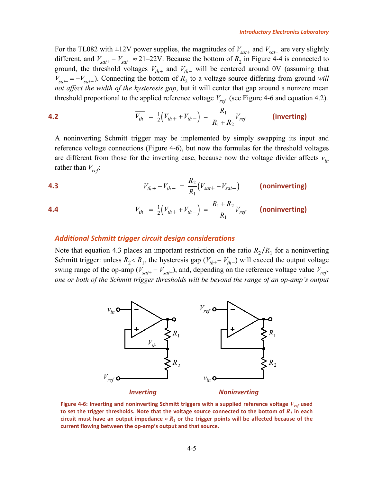For the TL082 with ±12V power supplies, the magnitudes of  $V_{\text{sat+}}$  and  $V_{\text{sat-}}$  are very slightly different, and  $V_{sat} - V_{sat-} \approx 21-22V$ . Because the bottom of  $R_2$  in [Figure 4-4](#page-5-2) is connected to ground, the threshold voltages  $V_{th+}$  and  $V_{th-}$  will be centered around 0V (assuming that  $V_{\text{sat}-} = -V_{\text{sat}+}$ ). Connecting the bottom of  $R_2$  to a voltage source differing from ground *will not affect the width of the hysteresis gap*, but it will center that gap around a nonzero mean threshold proportional to the applied reference voltage  $V_{ref}$  (see [Figure 4-6](#page-8-1) and equation [4.2\)](#page-8-2).

<span id="page-8-2"></span>**4.2** 
$$
\overline{V_{th}} = \frac{1}{2} (V_{th+} + V_{th-}) = \frac{R_1}{R_1 + R_2} V_{ref}
$$
 (inverting)

A noninverting Schmitt trigger may be implemented by simply swapping its input and reference voltage connections [\(Figure 4-6\)](#page-8-1), but now the formulas for the threshold voltages are different from those for the inverting case, because now the voltage divider affects  $v_{in}$ rather than  $V_{ref}$ :

<span id="page-8-4"></span><span id="page-8-3"></span>**4.3**

\n
$$
V_{th+} - V_{th-} = \frac{R_2}{R_1} (V_{sat+} - V_{sat-})
$$
\n(noninverting)

\n
$$
\overline{V_{th}} = \frac{1}{2} (V_{th+} + V_{th-}) = \frac{R_1 + R_2}{R_1} V_{ref}
$$
\n(noninverting)

## <span id="page-8-0"></span>*Additional Schmitt trigger circuit design considerations*

Note that equation [4.3](#page-8-3) places an important restriction on the ratio  $R_2/R_1$  for a noninverting Schmitt trigger: unless  $R_2 < R_1$ , the hysteresis gap ( $V_{th+}-V_{th-}$ ) will exceed the output voltage swing range of the op-amp ( $V_{sat} - V_{sat}$ ), and, depending on the reference voltage value  $V_{ref}$ , *one or both of the Schmitt trigger thresholds will be beyond the range of an op-amp's output* 



<span id="page-8-1"></span>**Figure 4-6: Inverting and noninverting Schmitt triggers with a supplied reference voltage** *Vref* **used**  to set the trigger thresholds. Note that the voltage source connected to the bottom of  $R_2$  in each circuit must have an output impedance  $\alpha R_2$  or the trigger points will be affected because of the **current flowing between the op-amp's output and that source.**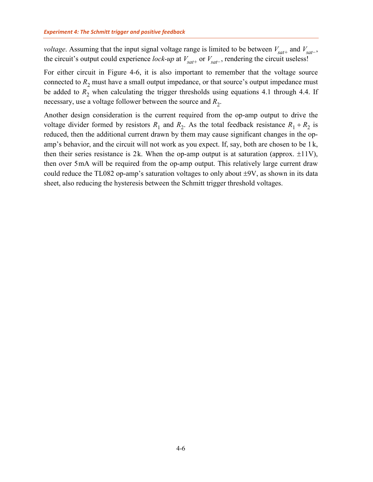*voltage*. Assuming that the input signal voltage range is limited to be between  $V_{\text{sat+}}$  and  $V_{\text{sat-}}$ , the circuit's output could experience *lock-up* at  $V_{sat+}$  or  $V_{sat-}$ , rendering the circuit useless!

For either circuit in [Figure 4-6,](#page-8-1) it is also important to remember that the voltage source connected to  $R_2$  must have a small output impedance, or that source's output impedance must be added to  $R<sub>2</sub>$  when calculating the trigger thresholds using equations [4.1](#page-7-2) through [4.4.](#page-8-4) If necessary, use a voltage follower between the source and  $R_2$ .

Another design consideration is the current required from the op-amp output to drive the voltage divider formed by resistors  $R_1$  and  $R_2$ . As the total feedback resistance  $R_1 + R_2$  is reduced, then the additional current drawn by them may cause significant changes in the opamp's behavior, and the circuit will not work as you expect. If, say, both are chosen to be 1 k, then their series resistance is 2k. When the op-amp output is at saturation (approx.  $\pm 11V$ ), then over 5mA will be required from the op-amp output. This relatively large current draw could reduce the TL082 op-amp's saturation voltages to only about  $\pm 9V$ , as shown in its data sheet, also reducing the hysteresis between the Schmitt trigger threshold voltages.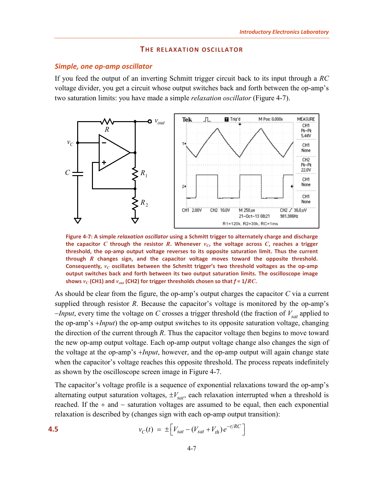#### **THE RELAXATION OSCILLATOR**

#### <span id="page-10-1"></span><span id="page-10-0"></span>*Simple, one op-amp oscillator*

If you feed the output of an inverting Schmitt trigger circuit back to its input through a *RC* voltage divider, you get a circuit whose output switches back and forth between the op-amp's two saturation limits: you have made a simple *relaxation oscillator* [\(Figure 4-7\)](#page-10-2).



<span id="page-10-2"></span>**Figure 4-7: A simple** *relaxation oscillator* **using a Schmitt trigger to alternately charge and discharge the capacitor** *C* **through the resistor** *R***. Whenever**  $v_C$ **, the voltage across** *C***, reaches a trigger threshold, the op-amp output voltage reverses to its opposite saturation limit. Thus the current through** *R* **changes sign, and the capacitor voltage moves toward the opposite threshold.**  Consequently,  $v_C$  oscillates between the Schmitt trigger's two threshold voltages as the op-amp **output switches back and forth between its two output saturation limits. The oscilloscope image**  shows  $v_C$  (CH1) and  $v_{out}$  (CH2) for trigger thresholds chosen so that  $f = 1/RC$ **.** 

As should be clear from the figure, the op-amp's output charges the capacitor *C* via a current supplied through resistor *R*. Because the capacitor's voltage is monitored by the op-amp's −*Input*, every time the voltage on *C* crosses a trigger threshold (the fraction of  $V_{sat}$  applied to the op-amp's +*Input*) the op-amp output switches to its opposite saturation voltage, changing the direction of the current through *R*. Thus the capacitor voltage then begins to move toward the new op-amp output voltage. Each op-amp output voltage change also changes the sign of the voltage at the op-amp's +*Input*, however, and the op-amp output will again change state when the capacitor's voltage reaches this opposite threshold. The process repeats indefinitely as shown by the oscilloscope screen image in [Figure 4-7.](#page-10-2)

The capacitor's voltage profile is a sequence of exponential relaxations toward the op-amp's alternating output saturation voltages,  $\pm V_{sat}$ , each relaxation interrupted when a threshold is reached. If the + and − saturation voltages are assumed to be equal, then each exponential relaxation is described by (changes sign with each op-amp output transition):

<span id="page-10-3"></span>**4.5** 
$$
v_C(t) = \pm \left[ V_{sat} - (V_{sat} + V_{th})e^{-t/RC} \right]
$$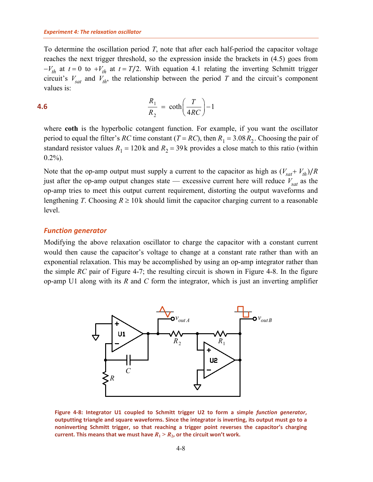To determine the oscillation period *T*, note that after each half-period the capacitor voltage reaches the next trigger threshold, so the expression inside the brackets in [\(4.5\)](#page-10-3) goes from  $-V_{th}$  at  $t = 0$  to  $+V_{th}$  at  $t = T/2$ . With equation [4.1](#page-7-2) relating the inverting Schmitt trigger circuit's  $V_{sat}$  and  $V_{th}$ , the relationship between the period *T* and the circuit's component values is:

$$
\frac{R_1}{R_2} = \coth\left(\frac{T}{4RC}\right) - 1
$$

where **coth** is the hyperbolic cotangent function. For example, if you want the oscillator period to equal the filter's *RC* time constant (*T* = *RC*), then  $R_1 = 3.08 R_2$ . Choosing the pair of standard resistor values  $R_1 = 120$  k and  $R_2 = 39$  k provides a close match to this ratio (within  $0.2\%$ ).

Note that the op-amp output must supply a current to the capacitor as high as  $(V_{sat} + V_{th})/R$ just after the op-amp output changes state — excessive current here will reduce  $V_{sat}$  as the op-amp tries to meet this output current requirement, distorting the output waveforms and lengthening *T*. Choosing  $R \ge 10$  k should limit the capacitor charging current to a reasonable level.

## <span id="page-11-0"></span>*Function generator*

Modifying the above relaxation oscillator to charge the capacitor with a constant current would then cause the capacitor's voltage to change at a constant rate rather than with an exponential relaxation. This may be accomplished by using an op-amp integrator rather than the simple *RC* pair of [Figure 4-7;](#page-10-2) the resulting circuit is shown in [Figure 4-8.](#page-11-1) In the figure op-amp U1 along with its *R* and *C* form the integrator, which is just an inverting amplifier



<span id="page-11-1"></span>**Figure 4-8: Integrator U1 coupled to Schmitt trigger U2 to form a simple** *function generator***, outputting triangle and square waveforms. Since the integrator is inverting, its output must go to a noninverting Schmitt trigger, so that reaching a trigger point reverses the capacitor's charging current. This means that we must have**  $R_1 > R_2$ **, or the circuit won't work.**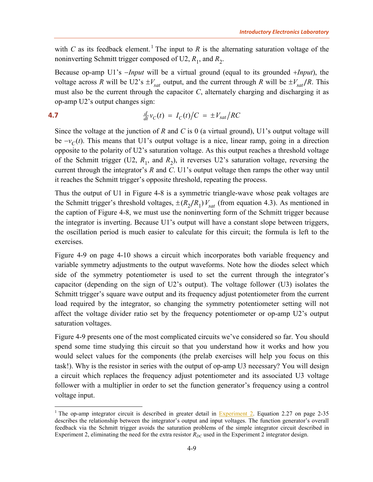with *C* as its feedback element.<sup>[1](#page-12-0)</sup> The input to *R* is the alternating saturation voltage of the noninverting Schmitt trigger composed of U2,  $R_1$ , and  $R_2$ .

Because op-amp U1's −*Input* will be a virtual ground (equal to its grounded +*Input*), the voltage across *R* will be U2's  $\pm V_{sat}$  output, and the current through *R* will be  $\pm V_{sat}/R$ . This must also be the current through the capacitor *C*, alternately charging and discharging it as op-amp U2's output changes sign:

<span id="page-12-1"></span>
$$
\frac{d}{dt}v_C(t) = I_C(t)/C = \pm V_{sat}/RC
$$

Since the voltage at the junction of *R* and *C* is 0 (a virtual ground), U1's output voltage will be  $-v<sub>C</sub>(t)$ . This means that U1's output voltage is a nice, linear ramp, going in a direction opposite to the polarity of U2's saturation voltage. As this output reaches a threshold voltage of the Schmitt trigger (U2,  $R_1$ , and  $R_2$ ), it reverses U2's saturation voltage, reversing the current through the integrator's *R* and *C*. U1's output voltage then ramps the other way until it reaches the Schmitt trigger's opposite threshold, repeating the process.

Thus the output of U1 in [Figure 4-8](#page-11-1) is a symmetric triangle-wave whose peak voltages are the Schmitt trigger's threshold voltages,  $\pm (R_2/R_1)V_{sat}$  (from equation [4.3\)](#page-8-3). As mentioned in the caption of [Figure 4-8,](#page-11-1) we must use the noninverting form of the Schmitt trigger because the integrator is inverting. Because U1's output will have a constant slope between triggers, the oscillation period is much easier to calculate for this circuit; the formula is left to the exercises.

[Figure 4-9](#page-13-0) [on page 4-10](#page-13-0) shows a circuit which incorporates both variable frequency and variable symmetry adjustments to the output waveforms. Note how the diodes select which side of the symmetry potentiometer is used to set the current through the integrator's capacitor (depending on the sign of U2's output). The voltage follower (U3) isolates the Schmitt trigger's square wave output and its frequency adjust potentiometer from the current load required by the integrator, so changing the symmetry potentiometer setting will not affect the voltage divider ratio set by the frequency potentiometer or op-amp U2's output saturation voltages.

[Figure 4-9](#page-13-0) presents one of the most complicated circuits we've considered so far. You should spend some time studying this circuit so that you understand how it works and how you would select values for the components (the prelab exercises will help you focus on this task!). Why is the resistor in series with the output of op-amp U3 necessary? You will design a circuit which replaces the frequency adjust potentiometer and its associated U3 voltage follower with a multiplier in order to set the function generator's frequency using a control voltage input.

<span id="page-12-0"></span><sup>&</sup>lt;sup>1</sup> The op-amp integrator circuit is described in greater detail in  $\frac{Experiment\ 2}{Example\ 2}$ . Equation 2.27 on page 2-35 describes the relationship between the integrator's output and input voltages. The function generator's overall feedback via the Schmitt trigger avoids the saturation problems of the simple integrator circuit described in Experiment 2, eliminating the need for the extra resistor  $R_{DC}$  used in the Experiment 2 integrator design.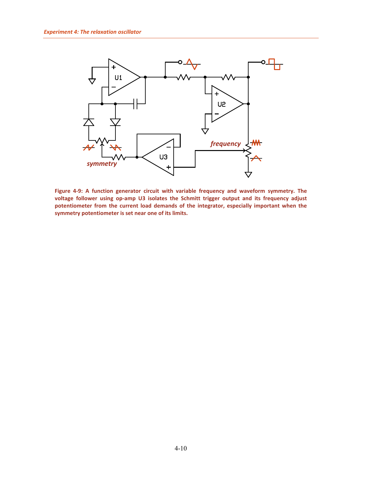

<span id="page-13-0"></span>**Figure 4-9: A function generator circuit with variable frequency and waveform symmetry. The voltage follower using op-amp U3 isolates the Schmitt trigger output and its frequency adjust potentiometer from the current load demands of the integrator, especially important when the symmetry potentiometer is set near one of its limits.**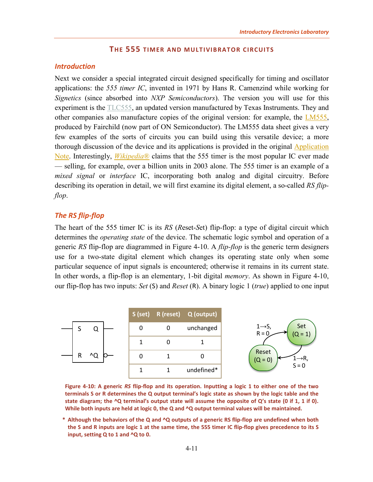## **THE 555 TIMER AND MULTIVIBRATOR CIRCUITS**

## <span id="page-14-1"></span><span id="page-14-0"></span>*Introduction*

Next we consider a special integrated circuit designed specifically for timing and oscillator applications: the *555 timer IC*, invented in 1971 by Hans R. Camenzind while working for *Signetics* (since absorbed into *NXP Semiconductors*). The version you will use for this experiment is the [TLC555,](http://www.sophphx.caltech.edu/Physics_5/Data_sheets/tlc555.pdf) an updated version manufactured by Texas Instruments. They and other companies also manufacture copies of the original version: for example, the [LM555,](http://www.sophphx.caltech.edu/Physics_5/Data_sheets/lm555.pdf) produced by Fairchild (now part of ON Semiconductor). The LM555 data sheet gives a very few examples of the sorts of circuits you can build using this versatile device; a more thorough discussion of the device and its applications is provided in the original [Application](http://www.sophphx.caltech.edu/Physics_5/Data_sheets/555appnote.pdf)  [Note.](http://www.sophphx.caltech.edu/Physics_5/Data_sheets/555appnote.pdf) Interestingly, *[Wikipedia](https://en.wikipedia.org/wiki/555_timer_IC)*® claims that the 555 timer is the most popular IC ever made — selling, for example, over a billion units in 2003 alone. The 555 timer is an example of a *mixed signal* or *interface* IC, incorporating both analog and digital circuitry. Before describing its operation in detail, we will first examine its digital element, a so-called *RS flipflop*.

## <span id="page-14-2"></span>*The RS flip-flop*

The heart of the 555 timer IC is its *RS* (*R*eset-*S*et) flip-flop: a type of digital circuit which determines the *operating state* of the device. The schematic logic symbol and operation of a generic *RS* flip-flop are diagrammed in [Figure 4-10.](#page-14-3) A *flip-flop* is the generic term designers use for a two-state digital element which changes its operating state only when some particular sequence of input signals is encountered; otherwise it remains in its current state. In other words, a flip-flop is an elementary, 1-bit digital *memory*. As shown in [Figure 4-10,](#page-14-3) our flip-flop has two inputs: *Set* (S) and *Reset* (R). A binary logic 1 (*true*) applied to one input



<span id="page-14-3"></span>**Figure 4-10: A generic** *RS* **flip-flop and its operation. Inputting a logic 1 to either one of the two terminals S or R determines the Q output terminal's logic state as shown by the logic table and the state diagram; the ^Q terminal's output state will assume the opposite of Q's state (0 if 1, 1 if 0). While both inputs are held at logic 0, the Q and ^Q output terminal values will be maintained.** 

**\* Although the behaviors of the Q and ^Q outputs of a generic RS flip-flop are undefined when both the S and R inputs are logic 1 at the same time, the 555 timer IC flip-flop gives precedence to its S input, setting Q to 1 and ^Q to 0.**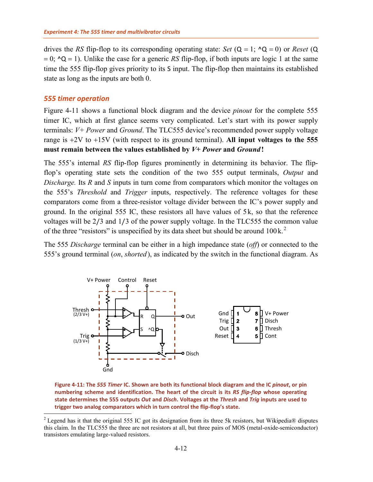drives the *RS* flip-flop to its corresponding operating state: *Set*  $(Q = 1; \Delta Q = 0)$  or *Reset*  $(Q$  $= 0$ ;  $\Delta Q = 1$ ). Unlike the case for a generic *RS* flip-flop, if both inputs are logic 1 at the same time the 555 flip-flop gives priority to its S input. The flip-flop then maintains its established state as long as the inputs are both 0.

#### <span id="page-15-0"></span>*555 timer operation*

[Figure 4-11](#page-15-1) shows a functional block diagram and the device *pinout* for the complete 555 timer IC, which at first glance seems very complicated. Let's start with its power supply terminals: *V+ Power* and *Ground*. The TLC555 device's recommended power supply voltage range is +2V to +15V (with respect to its ground terminal). **All input voltages to the 555 must remain between the values established by** *V+ Power* **and** *Ground* **!**

The 555's internal *RS* flip-flop figures prominently in determining its behavior. The flipflop's operating state sets the condition of the two 555 output terminals, *Output* and *Discharge.* Its *R* and *S* inputs in turn come from comparators which monitor the voltages on the 555's *Threshold* and *Trigger* inputs, respectively. The reference voltages for these comparators come from a three-resistor voltage divider between the IC's power supply and ground. In the original 555 IC, these resistors all have values of 5 k, so that the reference voltages will be 2/3 and 1/3 of the power supply voltage. In the TLC555 the common value of the three "resistors" is unspecified by its data sheet but should be around  $100 \text{ k}$ .<sup>[2](#page-15-2)</sup>

The 555 *Discharge* terminal can be either in a high impedance state (*off*) or connected to the 555's ground terminal (*on*, *shorted* ), as indicated by the switch in the functional diagram. As



<span id="page-15-1"></span>**Figure 4-11: The** *555 Timer* **IC. Shown are both its functional block diagram and the IC** *pinout***, or pin numbering scheme and identification. The heart of the circuit is its** *RS flip-flop* **whose operating state determines the 555 outputs** *Out* **and** *Disch***. Voltages at the** *Thresh* **and** *Trig* **inputs are used to trigger two analog comparators which in turn control the flip-flop's state.**

<span id="page-15-2"></span><sup>&</sup>lt;sup>2</sup> Legend has it that the original 555 IC got its designation from its three 5k resistors, but Wikipedia® disputes this claim. In the TLC555 the three are not resistors at all, but three pairs of MOS (metal-oxide-semiconductor) transistors emulating large-valued resistors.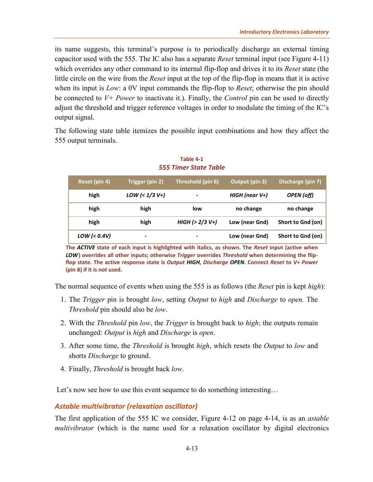its name suggests, this terminal's purpose is to periodically discharge an external timing capacitor used with the 555. The IC also has a separate *Reset* terminal input (see [Figure 4-11\)](#page-15-1) which overrides any other command to its internal flip-flop and drives it to its *Reset* state (the little circle on the wire from the *Reset* input at the top of the flip-flop in means that it is active when its input is *Low*: a 0V input commands the flip-flop to *Reset*; otherwise the pin should be connected to *V+ Power* to inactivate it.). Finally, the *Control* pin can be used to directly adjust the threshold and trigger reference voltages in order to modulate the timing of the IC's output signal.

<span id="page-16-1"></span>The following state table itemizes the possible input combinations and how they affect the 555 output terminals.

| Reset (pin 4) | Trigger (pin 2)  | Threshold (pin 6) | Output (pin 3)    | Discharge (pin 7) |
|---------------|------------------|-------------------|-------------------|-------------------|
| high          | $LOW (< 1/3 V+)$ | $\blacksquare$    | HIGH (near $V+$ ) | <b>OPEN</b> (off) |
| high          | high             | low               | no change         | no change         |
| high          | high             | $HIGH$ (> 2/3 V+) | Low (near Gnd)    | Short to Gnd (on) |
| $LOW (0.4V)$  | -                | ۰                 | Low (near Gnd)    | Short to Gnd (on) |

**Table 4-1** *555 Timer State Table*

**The** *ACTIVE* **state of each input is highlighted with italics, as shown. The** *Reset* **input (active when**  *LOW***) overrides all other inputs; otherwise** *Trigger* **overrides** *Threshold* **when determining the flipflop state. The active response state is** *Output HIGH***,** *Discharge OPEN***. Connect** *Reset* **to** *V+ Power* **(pin 8) if it is not used.**

The normal sequence of events when using the 555 is as follows (the *Reset* pin is kept *high*):

- 1. The *Trigger* pin is brought *low*, setting *Output* to *high* and *Discharge* to *open.* The *Threshold* pin should also be *low*.
- 2. With the *Threshold* pin *low*, the *Trigger* is brought back to *high*; the outputs remain unchanged: *Output* is *high* and *Discharge* is *open*.
- 3. After some time, the *Threshold* is brought *high*, which resets the *Output* to *low* and shorts *Discharge* to ground.
- 4. Finally, *Threshold* is brought back *low*.

Let's now see how to use this event sequence to do something interesting...

# <span id="page-16-0"></span>*Astable multivibrator (relaxation oscillator)*

The first application of the 555 IC we consider, [Figure 4-12](#page-17-0) [on page 4-14,](#page-17-0) is as an *astable multivibrator* (which is the name used for a relaxation oscillator by digital electronics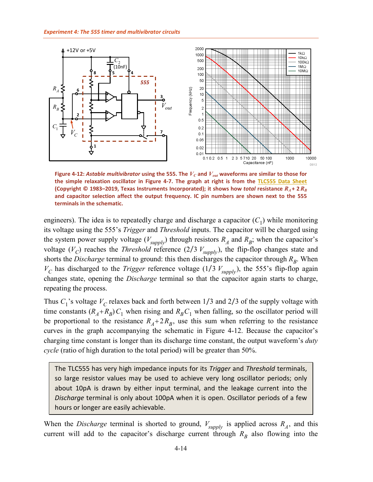

<span id="page-17-0"></span>**Figure 4-12: Astable multivibrator using the 555. The**  $V_C$  **and**  $V_{out}$  **waveforms are similar to those for the simple relaxation oscillator in [Figure 4-7.](#page-10-2) The graph at right is from the [TLC555 Data Sheet](http://www.sophphx.caltech.edu/Physics_5/Data_sheets/tlc555.pdf) (Copyright © 1983–2019, Texas Instruments Incorporated); it shows how** *total* **resistance**  $R_A$  **+ 2** $R_B$ **and capacitor selection affect the output frequency. IC pin numbers are shown next to the 555 terminals in the schematic.**

engineers). The idea is to repeatedly charge and discharge a capacitor  $(C_1)$  while monitoring its voltage using the 555's *Trigger* and *Threshold* inputs. The capacitor will be charged using the system power supply voltage  $(V_{\text{supply}})$  through resistors  $R_A$  and  $R_B$ ; when the capacitor's voltage  $(V_C)$  reaches the *Threshold* reference  $(2/3 V_{\text{supply}})$ , the flip-flop changes state and shorts the *Discharge* terminal to ground: this then discharges the capacitor through  $R_B$ . When  $V_C$  has discharged to the *Trigger* reference voltage (1/3  $V_{\text{supply}}$ ), the 555's flip-flop again changes state, opening the *Discharge* terminal so that the capacitor again starts to charge, repeating the process.

Thus  $C_1$ 's voltage  $V_C$  relaxes back and forth between 1/3 and 2/3 of the supply voltage with time constants  $(R_A + R_B)C_1$  when rising and  $R_B C_1$  when falling, so the oscillator period will be proportional to the resistance  $R_A + 2R_B$ , use this sum when referring to the resistance curves in the graph accompanying the schematic in [Figure 4-12.](#page-17-0) Because the capacitor's charging time constant is longer than its discharge time constant, the output waveform's *duty cycle* (ratio of high duration to the total period) will be greater than 50%.

The TLC555 has very high impedance inputs for its *Trigger* and *Threshold* terminals, so large resistor values may be used to achieve very long oscillator periods; only about 10pA is drawn by either input terminal, and the leakage current into the *Discharge* terminal is only about 100pA when it is open. Oscillator periods of a few hours or longer are easily achievable.

When the *Discharge* terminal is shorted to ground,  $V_{\text{supply}}$  is applied across  $R_A$ , and this current will add to the capacitor's discharge current through  $R_B$  also flowing into the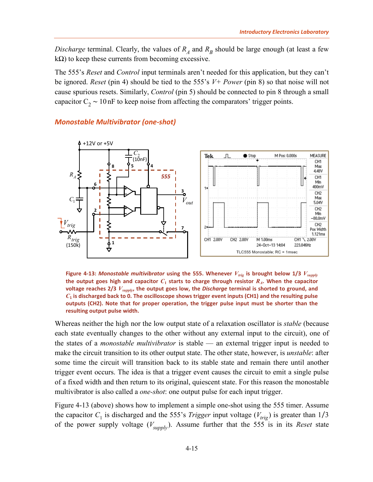*Discharge* terminal. Clearly, the values of  $R_A$  and  $R_B$  should be large enough (at least a few  $k\Omega$ ) to keep these currents from becoming excessive.

The 555's *Reset* and *Control* input terminals aren't needed for this application, but they can't be ignored. *Reset* (pin 4) should be tied to the 555's *V+ Power* (pin 8) so that noise will not cause spurious resets. Similarly, *Control* (pin 5) should be connected to pin 8 through a small capacitor  $C_2 \sim 10$  nF to keep noise from affecting the comparators' trigger points.



#### <span id="page-18-0"></span>*Monostable Multivibrator (one-shot)*

<span id="page-18-1"></span>**Figure 4-13:** *Monostable multivibrator* **using the 555. Whenever** *Vtrig* **is brought below 1/3** *Vsupply* **the output goes high and capacitor**  $C_1$  **starts to charge through resistor**  $R_A$ **. When the capacitor voltage reaches 2/3** *Vsupply***, the output goes low, the** *Discharge* **terminal is shorted to ground, and**  *C***<sup>1</sup> is discharged back to 0. The oscilloscope shows trigger event inputs (CH1) and the resulting pulse outputs (CH2). Note that for proper operation, the trigger pulse input must be shorter than the resulting output pulse width.**

Whereas neither the high nor the low output state of a relaxation oscillator is *stable* (because each state eventually changes to the other without any external input to the circuit), one of the states of a *monostable multivibrator* is stable — an external trigger input is needed to make the circuit transition to its other output state. The other state, however, is *unstable*: after some time the circuit will transition back to its stable state and remain there until another trigger event occurs. The idea is that a trigger event causes the circuit to emit a single pulse of a fixed width and then return to its original, quiescent state. For this reason the monostable multivibrator is also called a *one-shot*: one output pulse for each input trigger.

[Figure 4-13](#page-18-1) [\(above\)](#page-18-1) shows how to implement a simple one-shot using the 555 timer. Assume the capacitor  $C_1$  is discharged and the 555's *Trigger* input voltage ( $V_{trig}$ ) is greater than 1/3 of the power supply voltage  $(V_{\text{subbl}})$ . Assume further that the 555 is in its *Reset* state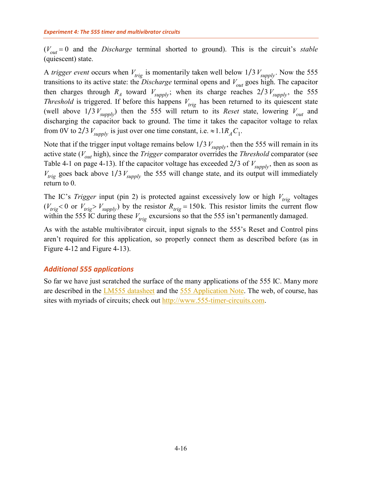$(V<sub>out</sub> = 0$  and the *Discharge* terminal shorted to ground). This is the circuit's *stable* (quiescent) state.

A *trigger event* occurs when  $V_{trig}$  is momentarily taken well below  $1/3V_{\text{subply}}$ . Now the 555 transitions to its active state: the *Discharge* terminal opens and  $V_{out}$  goes high. The capacitor then charges through  $R_A$  toward  $V_{\text{supply}}$ ; when its charge reaches  $2/3V_{\text{supply}}$ , the 555 *Threshold* is triggered. If before this happens  $V_{trig}$  has been returned to its quiescent state (well above  $1/3 V_{\text{sub}}$ ) then the 555 will return to its *Reset* state, lowering  $V_{\text{out}}$  and discharging the capacitor back to ground. The time it takes the capacitor voltage to relax from 0V to 2/3  $V_{\text{supply}}$  is just over one time constant, i.e.  $\approx 1.1R_A C_1$ .

Note that if the trigger input voltage remains below  $1/3 V_{\text{sumply}}$ , then the 555 will remain in its active state ( $V_{out}$  high), since the *Trigger* comparator overrides the *Threshold* comparator (see [Table 4-1](#page-16-1) [on page 4-13\)](#page-16-1). If the capacitor voltage has exceeded  $2/3$  of  $V_{\text{subplv}}$ , then as soon as  $V_{trig}$  goes back above 1/3  $V_{\text{supply}}$  the 555 will change state, and its output will immediately return to 0.

The IC's *Trigger* input (pin 2) is protected against excessively low or high  $V_{trig}$  voltages  $(V_{trig} < 0$  or  $V_{trig} > V_{supply}$ ) by the resistor  $R_{trig} = 150$  k. This resistor limits the current flow within the 555 IC during these  $V_{trig}$  excursions so that the 555 isn't permanently damaged.

As with the astable multivibrator circuit, input signals to the 555's Reset and Control pins aren't required for this application, so properly connect them as described before (as in [Figure 4-12](#page-17-0) and [Figure 4-13\)](#page-18-1).

## <span id="page-19-0"></span>*Additional 555 applications*

So far we have just scratched the surface of the many applications of the 555 IC. Many more are described in the [LM555 datasheet](http://www.sophphx.caltech.edu/Physics_5/Data_sheets/lm555.pdf) and the [555 Application Note.](http://www.sophphx.caltech.edu/Physics_5/Data_sheets/555appnote.pdf) The web, of course, has sites with myriads of circuits; check out [http://www.555-timer-circuits.com.](http://www.555-timer-circuits.com/)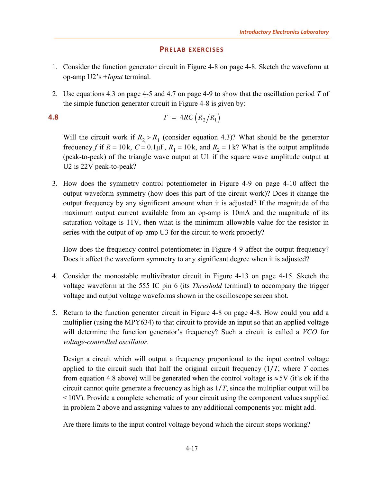# **PRELAB EXERCISES**

- <span id="page-20-0"></span>1. Consider the function generator circuit in [Figure 4-8](#page-11-1) [on page 4-8.](#page-11-1) Sketch the waveform at op-amp U2's +*Input* terminal.
- <span id="page-20-2"></span>2. Use equations [4.3](#page-8-3) [on page 4-5](#page-8-3) and [4.7](#page-12-1) [on page 4-9](#page-12-1) to show that the oscillation period *T* of the simple function generator circuit in [Figure 4-8](#page-11-1) is given by:

<span id="page-20-1"></span>**4.8**  $T = 4RC (R_2/R_1)$ 

Will the circuit work if  $R_2 > R_1$  (consider equation [4.3\)](#page-8-3)? What should be the generator frequency *f* if  $R = 10k$ ,  $C = 0.1 \mu F$ ,  $R_1 = 10k$ , and  $R_2 = 1 k$ ? What is the output amplitude (peak-to-peak) of the triangle wave output at U1 if the square wave amplitude output at U2 is 22V peak-to-peak?

3. How does the symmetry control potentiometer in [Figure 4-9](#page-13-0) [on page 4-10](#page-13-0) affect the output waveform symmetry (how does this part of the circuit work)? Does it change the output frequency by any significant amount when it is adjusted? If the magnitude of the maximum output current available from an op-amp is 10mA and the magnitude of its saturation voltage is 11V, then what is the minimum allowable value for the resistor in series with the output of op-amp U3 for the circuit to work properly?

How does the frequency control potentiometer in [Figure 4-9](#page-13-0) affect the output frequency? Does it affect the waveform symmetry to any significant degree when it is adjusted?

- 4. Consider the monostable multivibrator circuit in [Figure 4-13](#page-18-1) [on page 4-15.](#page-18-1) Sketch the voltage waveform at the 555 IC pin 6 (its *Threshold* terminal) to accompany the trigger voltage and output voltage waveforms shown in the oscilloscope screen shot.
- <span id="page-20-3"></span>5. Return to the function generator circuit in [Figure 4-8](#page-11-1) [on page 4-8.](#page-11-1) How could you add a multiplier (using the MPY634) to that circuit to provide an input so that an applied voltage will determine the function generator's frequency? Such a circuit is called a *VCO* for *voltage-controlled oscillator*.

Design a circuit which will output a frequency proportional to the input control voltage applied to the circuit such that half the original circuit frequency  $(1/T)$ , where *T* comes from equation [4.8](#page-20-1) above) will be generated when the control voltage is  $\approx$  5V (it's ok if the circuit cannot quite generate a frequency as high as 1/*T*, since the multiplier output will be <10V). Provide a complete schematic of your circuit using the component values supplied in problem [2](#page-20-2) above and assigning values to any additional components you might add.

Are there limits to the input control voltage beyond which the circuit stops working?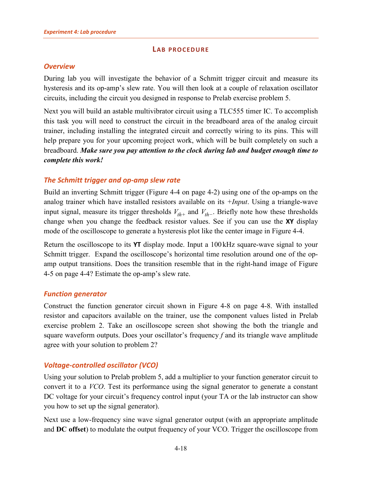# **LAB PROCEDURE**

# <span id="page-21-1"></span><span id="page-21-0"></span>*Overview*

During lab you will investigate the behavior of a Schmitt trigger circuit and measure its hysteresis and its op-amp's slew rate. You will then look at a couple of relaxation oscillator circuits, including the circuit you designed in response to Prelab exercise problem [5.](#page-20-3)

Next you will build an astable multivibrator circuit using a TLC555 timer IC. To accomplish this task you will need to construct the circuit in the breadboard area of the analog circuit trainer, including installing the integrated circuit and correctly wiring to its pins. This will help prepare you for your upcoming project work, which will be built completely on such a breadboard. *Make sure you pay attention to the clock during lab and budget enough time to complete this work!*

# <span id="page-21-2"></span>*The Schmitt trigger and op-amp slew rate*

Build an inverting Schmitt trigger [\(Figure 4-4](#page-5-2) [on page 4-2\)](#page-5-2) using one of the op-amps on the analog trainer which have installed resistors available on its *+Input*. Using a triangle-wave input signal, measure its trigger thresholds  $V_{th+}$  and  $V_{th-}$ . Briefly note how these thresholds change when you change the feedback resistor values. See if you can use the **XY** display mode of the oscilloscope to generate a hysteresis plot like the center image in [Figure 4-4.](#page-5-2)

Return the oscilloscope to its **YT** display mode. Input a 100 kHz square-wave signal to your Schmitt trigger. Expand the oscilloscope's horizontal time resolution around one of the opamp output transitions. Does the transition resemble that in the right-hand image of [Figure](#page-7-1)  [4-5](#page-7-1) [on page 4-4?](#page-7-1) Estimate the op-amp's slew rate.

# <span id="page-21-3"></span>*Function generator*

Construct the function generator circuit shown in [Figure 4-8](#page-11-1) [on page 4-8.](#page-11-1) With installed resistor and capacitors available on the trainer, use the component values listed in Prelab exercise problem [2.](#page-20-2) Take an oscilloscope screen shot showing the both the triangle and square waveform outputs. Does your oscillator's frequency *f* and its triangle wave amplitude agree with your solution to problem [2?](#page-20-2)

# <span id="page-21-4"></span>*Voltage-controlled oscillator (VCO)*

Using your solution to Prelab problem [5,](#page-20-3) add a multiplier to your function generator circuit to convert it to a *VCO*. Test its performance using the signal generator to generate a constant DC voltage for your circuit's frequency control input (your TA or the lab instructor can show you how to set up the signal generator).

Next use a low-frequency sine wave signal generator output (with an appropriate amplitude and **DC offset**) to modulate the output frequency of your VCO. Trigger the oscilloscope from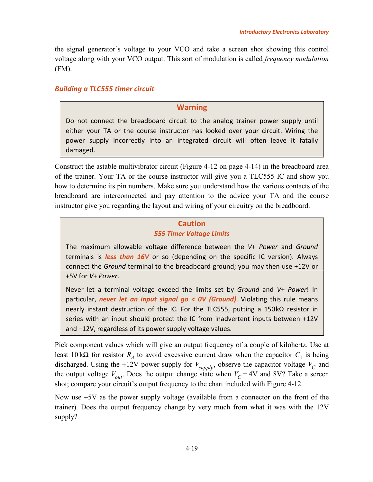the signal generator's voltage to your VCO and take a screen shot showing this control voltage along with your VCO output. This sort of modulation is called *frequency modulation* (FM).

# <span id="page-22-0"></span>*Building a TLC555 timer circuit*

# **Warning**

Do not connect the breadboard circuit to the analog trainer power supply until either your TA or the course instructor has looked over your circuit. Wiring the power supply incorrectly into an integrated circuit will often leave it fatally damaged.

Construct the astable multivibrator circuit [\(Figure 4-12](#page-17-0) [on page 4-14\)](#page-17-0) in the breadboard area of the trainer. Your TA or the course instructor will give you a TLC555 IC and show you how to determine its pin numbers. Make sure you understand how the various contacts of the breadboard are interconnected and pay attention to the advice your TA and the course instructor give you regarding the layout and wiring of your circuitry on the breadboard.

# **Caution** *555 Timer Voltage Limits*

The maximum allowable voltage difference between the *V*+ *Power* and *Ground* terminals is *less than 16V* or so (depending on the specific IC version). Always connect the *Ground* terminal to the breadboard ground; you may then use +12V or +5V for *V*+ *Power*.

Never let a terminal voltage exceed the limits set by *Ground* and *V*+ *Power*! In particular, *never let an input signal go < 0V (Ground)*. Violating this rule means nearly instant destruction of the IC. For the TLC555, putting a 150kΩ resistor in series with an input should protect the IC from inadvertent inputs between +12V and −12V, regardless of its power supply voltage values.

Pick component values which will give an output frequency of a couple of kilohertz. Use at least 10 kΩ for resistor  $R_4$  to avoid excessive current draw when the capacitor  $C_1$  is being discharged. Using the +12V power supply for  $V_{\text{supply}}$ , observe the capacitor voltage  $V_C$  and the output voltage  $V_{out}$ . Does the output change state when  $V_C = 4V$  and 8V? Take a screen shot; compare your circuit's output frequency to the chart included with [Figure 4-12.](#page-17-0)

Now use +5V as the power supply voltage (available from a connector on the front of the trainer). Does the output frequency change by very much from what it was with the 12V supply?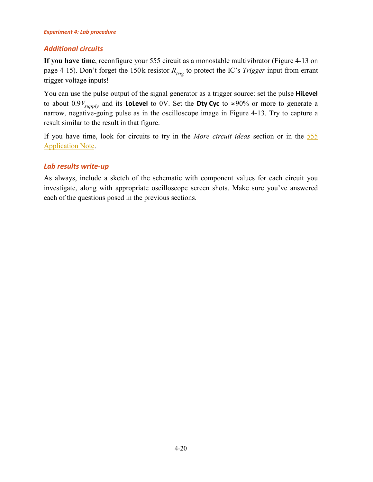#### *[Experiment 4:](#page-0-0) Lab procedure*

# <span id="page-23-0"></span>*Additional circuits*

**If you have time**, reconfigure your 555 circuit as a monostable multivibrator [\(Figure 4-13](#page-18-1) [on](#page-18-1)  [page 4-15\)](#page-18-1). Don't forget the 150 k resistor  $R_{trig}$  to protect the IC's *Trigger* input from errant trigger voltage inputs!

You can use the pulse output of the signal generator as a trigger source: set the pulse **HiLevel** to about  $0.9V_{\text{subply}}$  and its **LoLevel** to 0V. Set the **Dty Cyc** to ≈90% or more to generate a narrow, negative-going pulse as in the oscilloscope image in [Figure 4-13.](#page-18-1) Try to capture a result similar to the result in that figure.

If you have time, look for circuits to try in the *[More circuit ideas](#page-24-0)* section or in the [555](http://www.sophphx.caltech.edu/Physics_5/Data_sheets/555appnote.pdf)  [Application Note.](http://www.sophphx.caltech.edu/Physics_5/Data_sheets/555appnote.pdf)

# <span id="page-23-1"></span>*Lab results write-up*

As always, include a sketch of the schematic with component values for each circuit you investigate, along with appropriate oscilloscope screen shots. Make sure you've answered each of the questions posed in the previous sections.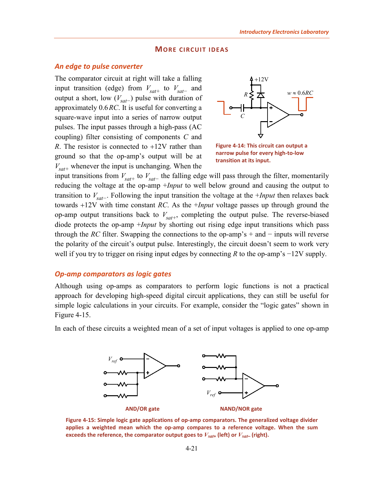#### **MORE CIRCUIT IDEAS**

## <span id="page-24-1"></span><span id="page-24-0"></span>*An edge to pulse converter*

The comparator circuit at right will take a falling input transition (edge) from  $V_{sat+}$  to  $V_{sat-}$  and output a short, low  $(V_{sat-})$  pulse with duration of approximately 0.6*RC*. It is useful for converting a square-wave input into a series of narrow output pulses. The input passes through a high-pass (AC coupling) filter consisting of components *C* and *R*. The resistor is connected to +12V rather than ground so that the op-amp's output will be at  $V_{\text{sat+}}$  whenever the input is unchanging. When the



<span id="page-24-3"></span>**Figure 4-14: This circuit can output a narrow pulse for every high-to-low transition at its input.**

input transitions from  $V_{sat+}$  to  $V_{sat-}$  the falling edge will pass through the filter, momentarily reducing the voltage at the op-amp +*Input* to well below ground and causing the output to transition to *V<sub>sat</sub>*<sub>−</sub>. Following the input transition the voltage at the +*Input* then relaxes back towards +12V with time constant *RC*. As the +*Input* voltage passes up through ground the op-amp output transitions back to  $V_{\text{sat+}}$ , completing the output pulse. The reverse-biased diode protects the op-amp +*Input* by shorting out rising edge input transitions which pass through the *RC* filter. Swapping the connections to the op-amp's + and  $-$  inputs will reverse the polarity of the circuit's output pulse. Interestingly, the circuit doesn't seem to work very well if you try to trigger on rising input edges by connecting *R* to the op-amp's −12V supply.

# <span id="page-24-2"></span>*Op-amp comparators as logic gates*

Although using op-amps as comparators to perform logic functions is not a practical approach for developing high-speed digital circuit applications, they can still be useful for simple logic calculations in your circuits. For example, consider the "logic gates" shown in [Figure 4-15.](#page-24-4)

In each of these circuits a weighted mean of a set of input voltages is applied to one op-amp



<span id="page-24-4"></span>**Figure 4-15: Simple logic gate applications of op-amp comparators. The generalized voltage divider applies a weighted mean which the op-amp compares to a reference voltage. When the sum exceeds the reference, the comparator output goes to**  $V_{sat}$  **(left) or**  $V_{sat}$  **(right).**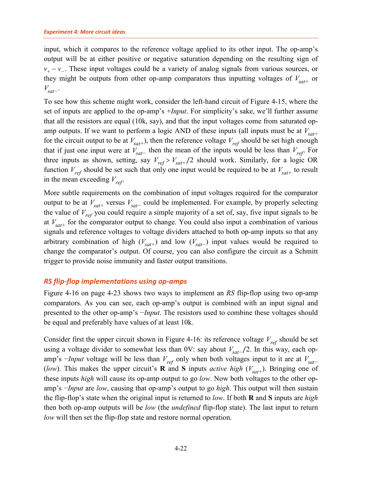input, which it compares to the reference voltage applied to its other input. The op-amp's output will be at either positive or negative saturation depending on the resulting sign of  $v_{+} - v_{-}$ . These input voltages could be a variety of analog signals from various sources, or they might be outputs from other op-amp comparators thus inputting voltages of  $V_{\text{sat+}}$  or *V<sub>sat</sub>*−

To see how this scheme might work, consider the left-hand circuit of [Figure 4-15,](#page-24-4) where the set of inputs are applied to the op-amp's +*Input*. For simplicity's sake, we'll further assume that all the resistors are equal (10k, say), and that the input voltages come from saturated opamp outputs. If we want to perform a logic AND of these inputs (all inputs must be at  $V_{sat+}$ for the circuit output to be at  $V_{\text{sat}}$ ), then the reference voltage  $V_{\text{ref}}$  should be set high enough that if just one input were at  $V_{sat-}$  then the mean of the inputs would be less than  $V_{ref}$ . For three inputs as shown, setting, say  $V_{ref} > V_{sat+}/2$  should work. Similarly, for a logic OR function  $V_{ref}$  should be set such that only one input would be required to be at  $V_{sat+}$  to result in the mean exceeding  $V_{ref}$ .

More subtle requirements on the combination of input voltages required for the comparator output to be at  $V_{sat+}$  versus  $V_{sat-}$  could be implemented. For example, by properly selecting the value of  $V_{ref}$  you could require a simple majority of a set of, say, five input signals to be at  $V_{\text{sat+}}$  for the comparator output to change. You could also input a combination of various signals and reference voltages to voltage dividers attached to both op-amp inputs so that any arbitrary combination of high  $(V_{sat+})$  and low  $(V_{sat-})$  input values would be required to change the comparator's output. Of course, you can also configure the circuit as a Schmitt trigger to provide noise immunity and faster output transitions.

# <span id="page-25-0"></span>*RS flip-flop implementations using op-amps*

[Figure 4-16](#page-26-0) [on page 4-23](#page-26-0) shows two ways to implement an *RS* flip-flop using two op-amp comparators. As you can see, each op-amp's output is combined with an input signal and presented to the other op-amp's −*Input*. The resistors used to combine these voltages should be equal and preferably have values of at least 10k.

Consider first the upper circuit shown in [Figure 4-16:](#page-26-0) its reference voltage  $V_{ref}$  should be set using a voltage divider to somewhat less than 0V: say about  $V_{sat-}$  /2. In this way, each opamp's  $-Input$  voltage will be less than  $V_{ref}$  only when both voltages input to it are at  $V_{sat}$ − (*low*). This makes the upper circuit's **R** and **S** inputs *active high* ( $V_{sat+}$ ). Bringing one of these inputs *high* will cause its op-amp output to go *low*. Now both voltages to the other opamp's −*Input* are *low*, causing that op-amp's output to go *high*. This output will then sustain the flip-flop's state when the original input is returned to *low*. If both **R** and **S** inputs are *high* then both op-amp outputs will be *low* (the *undefined* flip-flop state). The last input to return *low* will then set the flip-flop state and restore normal operation.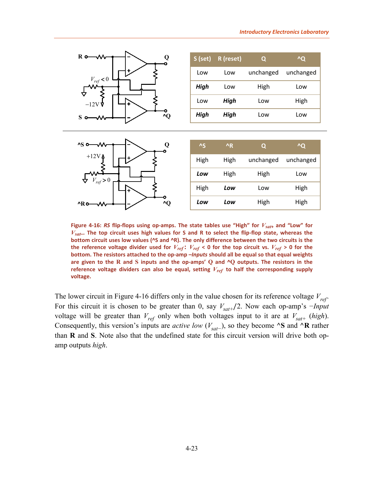*Low Low* High High



<span id="page-26-0"></span>**Figure 4-16:** *RS* **flip-flops using op-amps. The state tables use "High" for** *Vsat***+ and "Low" for**  *Vsat***–. The top circuit uses high values for S and R to select the flip-flop state, whereas the bottom circuit uses low values (^S and ^R). The only difference between the two circuits is the**  the reference voltage divider used for  $V_{ref}$ :  $V_{ref}$  < 0 for the top circuit vs.  $V_{ref}$  > 0 for the **bottom. The resistors attached to the op-amp –***Inputs* **should all be equal so that equal weights are given to the R and S inputs and the op-amps' Q and ^Q outputs. The resistors in the reference voltage dividers can also be equal, setting** *Vref* **to half the corresponding supply voltage.**

**^R o**—W  $\rightarrow$  **d**  $\rightarrow$  *\_*  $\rightarrow$  **^Q** 

The lower circuit in [Figure 4-16](#page-26-0) differs only in the value chosen for its reference voltage  $V_{ref}$ . For this circuit it is chosen to be greater than 0, say  $V_{sat+}/2$ . Now each op-amp's  $-Input$ voltage will be greater than  $V_{ref}$  only when both voltages input to it are at  $V_{sat+}$  (*high*). Consequently, this version's inputs are *active low* ( $V_{sat}$ −), so they become **^S** and **^R** rather than **R** and **S**. Note also that the undefined state for this circuit version will drive both opamp outputs *high*.